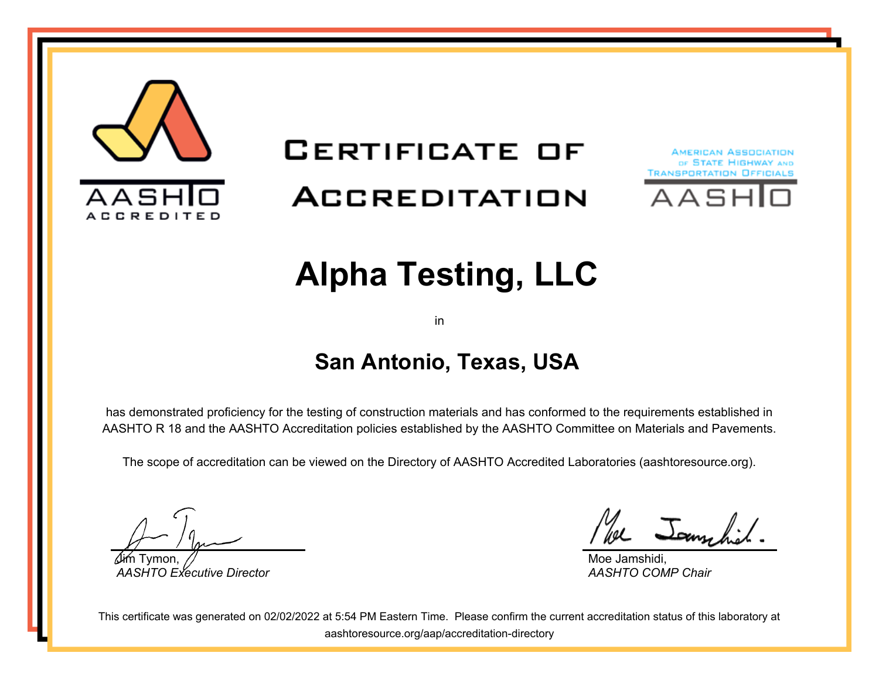

# **CERTIFICATE OF** ACCREDITATION





# **Alpha Testing, LLC**

in

#### **San Antonio, Texas, USA**

has demonstrated proficiency for the testing of construction materials and has conformed to the requirements established in AASHTO R 18 and the AASHTO Accreditation policies established by the AASHTO Committee on Materials and Pavements.

The scope of accreditation can be viewed on the Directory of AASHTO Accredited Laboratories (aashtoresource.org).

Jim Tymon, *AASHTO Executive Director*

We Jammhil

Moe Jamshidi, *AASHTO COMP Chair*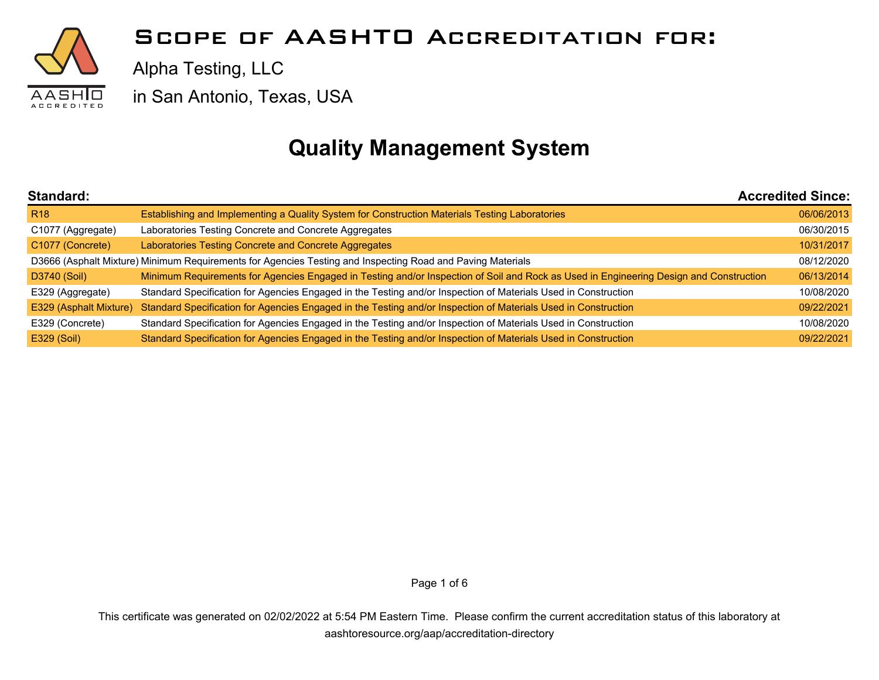

Alpha Testing, LLC

in San Antonio, Texas, USA

### **Quality Management System**

| Standard:              |                                                                                                                                        | <b>Accredited Since:</b> |
|------------------------|----------------------------------------------------------------------------------------------------------------------------------------|--------------------------|
| <b>R18</b>             | Establishing and Implementing a Quality System for Construction Materials Testing Laboratories                                         | 06/06/2013               |
| C1077 (Aggregate)      | Laboratories Testing Concrete and Concrete Aggregates                                                                                  | 06/30/2015               |
| C1077 (Concrete)       | Laboratories Testing Concrete and Concrete Aggregates                                                                                  | 10/31/2017               |
|                        | D3666 (Asphalt Mixture) Minimum Requirements for Agencies Testing and Inspecting Road and Paving Materials                             | 08/12/2020               |
| D3740 (Soil)           | Minimum Requirements for Agencies Engaged in Testing and/or Inspection of Soil and Rock as Used in Engineering Design and Construction | 06/13/2014               |
| E329 (Aggregate)       | Standard Specification for Agencies Engaged in the Testing and/or Inspection of Materials Used in Construction                         | 10/08/2020               |
| E329 (Asphalt Mixture) | Standard Specification for Agencies Engaged in the Testing and/or Inspection of Materials Used in Construction                         | 09/22/2021               |
| E329 (Concrete)        | Standard Specification for Agencies Engaged in the Testing and/or Inspection of Materials Used in Construction                         | 10/08/2020               |
| E329 (Soil)            | Standard Specification for Agencies Engaged in the Testing and/or Inspection of Materials Used in Construction                         | 09/22/2021               |

Page 1 of 6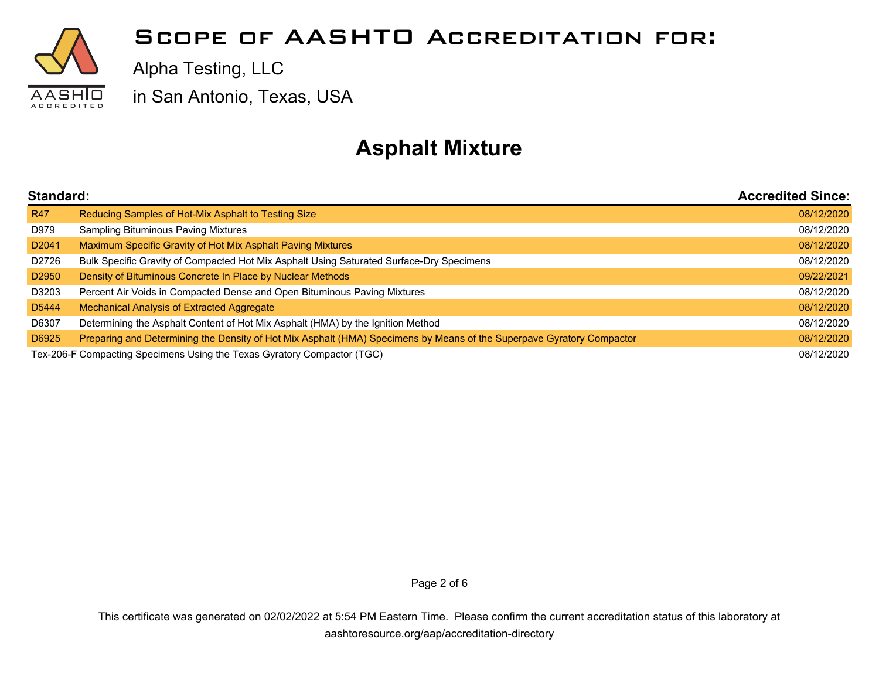

Alpha Testing, LLC

in San Antonio, Texas, USA

## **Asphalt Mixture**

| Standard:                                                               |                                                                                                                       | <b>Accredited Since:</b> |
|-------------------------------------------------------------------------|-----------------------------------------------------------------------------------------------------------------------|--------------------------|
| <b>R47</b>                                                              | Reducing Samples of Hot-Mix Asphalt to Testing Size                                                                   | 08/12/2020               |
| D979                                                                    | <b>Sampling Bituminous Paving Mixtures</b>                                                                            | 08/12/2020               |
| D <sub>2041</sub>                                                       | Maximum Specific Gravity of Hot Mix Asphalt Paving Mixtures                                                           | 08/12/2020               |
| D2726                                                                   | Bulk Specific Gravity of Compacted Hot Mix Asphalt Using Saturated Surface-Dry Specimens                              | 08/12/2020               |
| D <sub>2950</sub>                                                       | Density of Bituminous Concrete In Place by Nuclear Methods                                                            | 09/22/2021               |
| D3203                                                                   | Percent Air Voids in Compacted Dense and Open Bituminous Paving Mixtures                                              | 08/12/2020               |
| D <sub>5444</sub>                                                       | Mechanical Analysis of Extracted Aggregate                                                                            | 08/12/2020               |
| D6307                                                                   | Determining the Asphalt Content of Hot Mix Asphalt (HMA) by the Ignition Method                                       | 08/12/2020               |
| D6925                                                                   | Preparing and Determining the Density of Hot Mix Asphalt (HMA) Specimens by Means of the Superpave Gyratory Compactor | 08/12/2020               |
| Tex-206-F Compacting Specimens Using the Texas Gyratory Compactor (TGC) |                                                                                                                       | 08/12/2020               |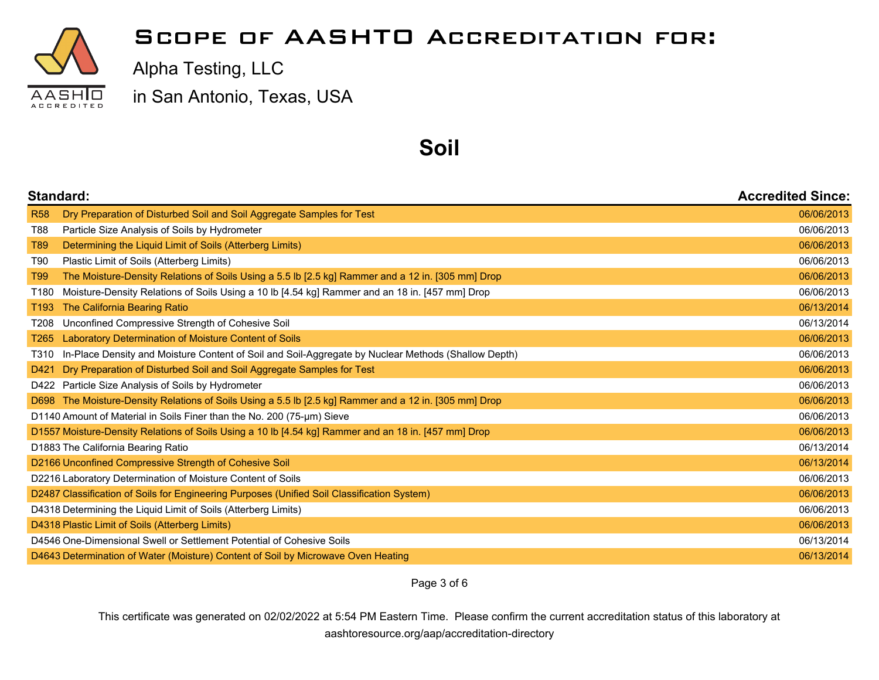

Alpha Testing, LLC

in San Antonio, Texas, USA

#### **Soil**

| <b>Standard:</b>                                                                  |                                                                                                      | <b>Accredited Since:</b> |
|-----------------------------------------------------------------------------------|------------------------------------------------------------------------------------------------------|--------------------------|
| <b>R58</b>                                                                        | Dry Preparation of Disturbed Soil and Soil Aggregate Samples for Test                                | 06/06/2013               |
| <b>T88</b>                                                                        | Particle Size Analysis of Soils by Hydrometer                                                        | 06/06/2013               |
| T89                                                                               | Determining the Liquid Limit of Soils (Atterberg Limits)                                             | 06/06/2013               |
| T90                                                                               | Plastic Limit of Soils (Atterberg Limits)                                                            | 06/06/2013               |
| T99                                                                               | The Moisture-Density Relations of Soils Using a 5.5 lb [2.5 kg] Rammer and a 12 in. [305 mm] Drop    | 06/06/2013               |
| T180                                                                              | Moisture-Density Relations of Soils Using a 10 lb [4.54 kg] Rammer and an 18 in. [457 mm] Drop       | 06/06/2013               |
| T <sub>193</sub>                                                                  | The California Bearing Ratio                                                                         | 06/13/2014               |
| T208                                                                              | Unconfined Compressive Strength of Cohesive Soil                                                     | 06/13/2014               |
| T265                                                                              | Laboratory Determination of Moisture Content of Soils                                                | 06/06/2013               |
| T310                                                                              | In-Place Density and Moisture Content of Soil and Soil-Aggregate by Nuclear Methods (Shallow Depth)  | 06/06/2013               |
| D421                                                                              | Dry Preparation of Disturbed Soil and Soil Aggregate Samples for Test                                | 06/06/2013               |
|                                                                                   | D422 Particle Size Analysis of Soils by Hydrometer                                                   | 06/06/2013               |
| D698                                                                              | The Moisture-Density Relations of Soils Using a 5.5 lb [2.5 kg] Rammer and a 12 in. [305 mm] Drop    | 06/06/2013               |
| D1140 Amount of Material in Soils Finer than the No. 200 (75-µm) Sieve            |                                                                                                      | 06/06/2013               |
|                                                                                   | D1557 Moisture-Density Relations of Soils Using a 10 lb [4.54 kg] Rammer and an 18 in. [457 mm] Drop | 06/06/2013               |
| D1883 The California Bearing Ratio                                                |                                                                                                      | 06/13/2014               |
|                                                                                   | D2166 Unconfined Compressive Strength of Cohesive Soil                                               | 06/13/2014               |
|                                                                                   | D2216 Laboratory Determination of Moisture Content of Soils                                          | 06/06/2013               |
|                                                                                   | D2487 Classification of Soils for Engineering Purposes (Unified Soil Classification System)          | 06/06/2013               |
|                                                                                   | D4318 Determining the Liquid Limit of Soils (Atterberg Limits)                                       | 06/06/2013               |
| D4318 Plastic Limit of Soils (Atterberg Limits)                                   |                                                                                                      | 06/06/2013               |
| D4546 One-Dimensional Swell or Settlement Potential of Cohesive Soils             |                                                                                                      | 06/13/2014               |
| D4643 Determination of Water (Moisture) Content of Soil by Microwave Oven Heating |                                                                                                      |                          |

Page 3 of 6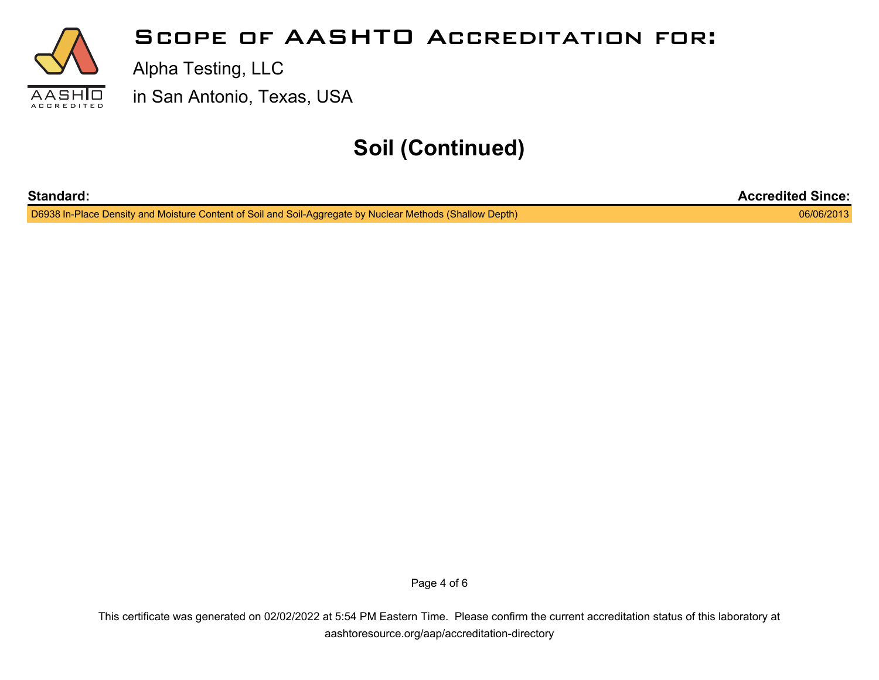

## **Soil (Continued)**

| <b>Standard:</b>                                                                                          | <b>Accredited Since:</b> |
|-----------------------------------------------------------------------------------------------------------|--------------------------|
| D6938 In-Place Density and Moisture Content of Soil and Soil-Aggregate by Nuclear Methods (Shallow Depth) | 06/06/2013               |

Page 4 of 6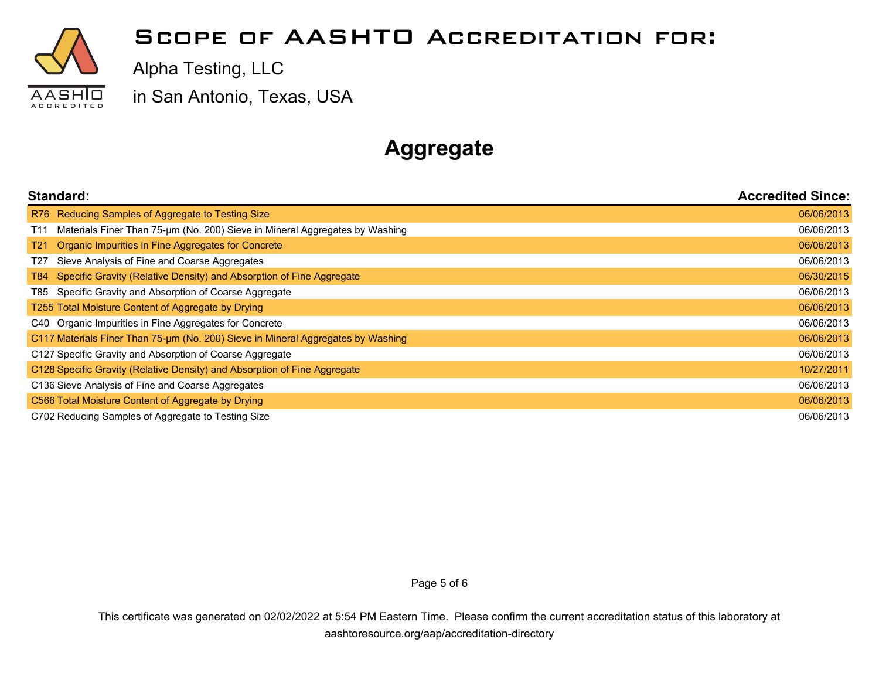

Alpha Testing, LLC

in San Antonio, Texas, USA

# **Aggregate**

| Standard:                                                                                      | <b>Accredited Since:</b> |
|------------------------------------------------------------------------------------------------|--------------------------|
| R76 Reducing Samples of Aggregate to Testing Size                                              | 06/06/2013               |
| Materials Finer Than 75-um (No. 200) Sieve in Mineral Aggregates by Washing<br>T <sub>11</sub> | 06/06/2013               |
| Organic Impurities in Fine Aggregates for Concrete<br>T <sub>21</sub>                          | 06/06/2013               |
| Sieve Analysis of Fine and Coarse Aggregates<br>T27                                            | 06/06/2013               |
| Specific Gravity (Relative Density) and Absorption of Fine Aggregate<br>T84 I                  | 06/30/2015               |
| Specific Gravity and Absorption of Coarse Aggregate<br>T85 I                                   | 06/06/2013               |
| T255 Total Moisture Content of Aggregate by Drying                                             | 06/06/2013               |
| C40 Organic Impurities in Fine Aggregates for Concrete                                         | 06/06/2013               |
| C117 Materials Finer Than 75-um (No. 200) Sieve in Mineral Aggregates by Washing               | 06/06/2013               |
| C127 Specific Gravity and Absorption of Coarse Aggregate                                       | 06/06/2013               |
| C128 Specific Gravity (Relative Density) and Absorption of Fine Aggregate                      | 10/27/2011               |
| C136 Sieve Analysis of Fine and Coarse Aggregates                                              | 06/06/2013               |
| C566 Total Moisture Content of Aggregate by Drying                                             | 06/06/2013               |
| C702 Reducing Samples of Aggregate to Testing Size                                             | 06/06/2013               |

Page 5 of 6